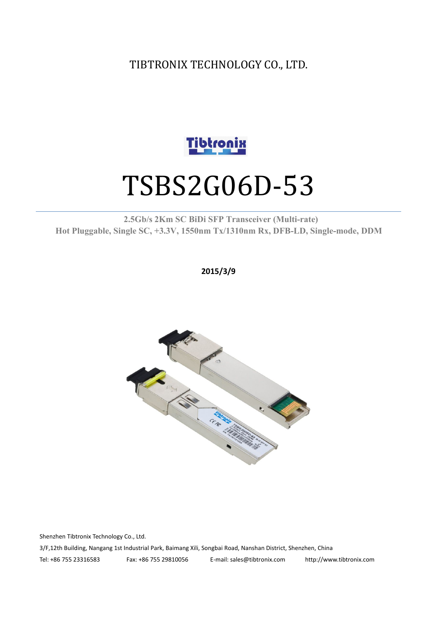TIBTRONIX TECHNOLOGY CO., LTD.



# TSBS2G06D-53

#### **2.5Gb/s 2Km SC BiDi SFP Transceiver (Multi-rate) Hot Pluggable, Single SC, +3.3V, 1550nm Tx/1310nm Rx, DFB-LD,Single-mode, DDM**

**2015/3/9**



Shenzhen Tibtronix Technology Co., Ltd. 3/F,12th Building, Nangang 1st Industrial Park, Baimang Xili, Songbai Road, Nanshan District, Shenzhen, China Tel: +86 755 23316583 Fax: +86 755 29810056 E-mail: sales@tibtronix.com http://www.tibtronix.com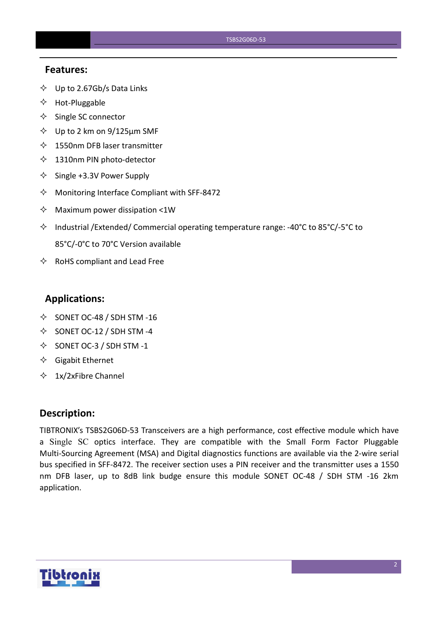#### **Features:**

- $\diamondsuit$  Up to 2.67Gb/s Data Links
- $\Leftrightarrow$  Hot-Pluggable
- $\Leftrightarrow$  Single SC connector
- $\diamond$  Up to 2 km on 9/125 µm SMF
- $\lozenge$  1550nm DFB laser transmitter
- $\lozenge$  1310nm PIN photo-detector
- $\diamond$  Single +3.3V Power Supply
- $\Diamond$  Monitoring Interface Compliant with SFF-8472
- $\Diamond$  Maximum power dissipation <1W
- Industrial /Extended/ Commercial operating temperature range: -40°C to 85°C/-5°C to 85°C/-0°C to 70°C Version available
- $\Leftrightarrow$  RoHS compliant and Lead Free

#### **Applications:**

- $\diamond$  SONET OC-48 / SDH STM -16
- $\diamond$  SONET OC-12 / SDH STM -4
- $\diamond$  SONET OC-3 / SDH STM -1
- $\Diamond$  Gigabit Ethernet
- $\div$  1x/2xFibre Channel

#### **Description:**

TIBTRONIX's TSBS2G06D-53 Transceivers are a high performance, cost effective module which have a Single SC optics interface. They are compatible with the Small Form Factor Pluggable Multi-Sourcing Agreement (MSA) and Digital diagnostics functions are available via the 2-wire serial bus specified in SFF-8472. The receiver section uses a PIN receiver and the transmitter uses a 1550 nm DFB laser, up to 8dB link budge ensure this module SONET OC-48 / SDH STM -16 2km application.

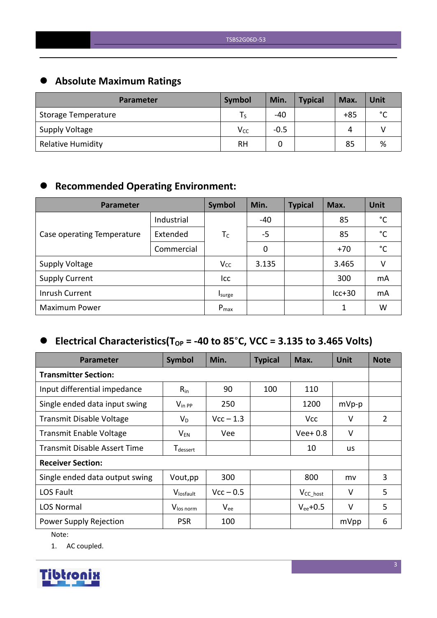# **Absolute Maximum Ratings**

| <b>Parameter</b>         | Symbol   | Min.   | <b>Typical</b> | Max.  | Unit        |
|--------------------------|----------|--------|----------------|-------|-------------|
| Storage Temperature      | l S      | -40    |                | $+85$ | $\sim$<br>◡ |
| Supply Voltage           | $V_{CC}$ | $-0.5$ |                | 4     |             |
| <b>Relative Humidity</b> | RH       |        |                | 85    | %           |

# **Recommended Operating Environment:**

| Parameter                  | Symbol     | Min.      | <b>Typical</b> | Max. | <b>Unit</b> |              |
|----------------------------|------------|-----------|----------------|------|-------------|--------------|
|                            | Industrial |           | $-40$          |      | 85          | °C           |
| Case operating Temperature | Extended   | $T_C$     | $-5$           |      | 85          | $^{\circ}$ C |
|                            | Commercial |           | 0              |      | $+70$       | °C           |
| <b>Supply Voltage</b>      |            | $V_{CC}$  | 3.135          |      | 3.465       | V            |
| <b>Supply Current</b>      |            | Icc       |                |      | 300         | mA           |
| Inrush Current             |            | Isurge    |                |      | $lcc+30$    | mA           |
| <b>Maximum Power</b>       |            | $P_{max}$ |                |      | 1           | W            |

# $\bullet$  Electrical Characteristics(T<sub>OP</sub> = -40 to 85°C, VCC = 3.135 to 3.465 Volts)

| <b>Parameter</b>                    | Symbol                      | Min.        | <b>Typical</b> | Max.           | <b>Unit</b> | <b>Note</b>    |
|-------------------------------------|-----------------------------|-------------|----------------|----------------|-------------|----------------|
| <b>Transmitter Section:</b>         |                             |             |                |                |             |                |
| Input differential impedance        | $R_{in}$                    | 90          | 100            | 110            |             |                |
| Single ended data input swing       | $V_{\text{in PP}}$          | 250         |                | 1200           | $mVp-p$     |                |
| <b>Transmit Disable Voltage</b>     | $V_D$                       | $Vcc - 1.3$ |                | <b>Vcc</b>     | V           | $\overline{2}$ |
| <b>Transmit Enable Voltage</b>      | $\mathsf{V}_{\mathsf{EN}}$  | Vee         |                | $Vee+0.8$      | $\vee$      |                |
| <b>Transmit Disable Assert Time</b> | <b>T</b> <sub>dessert</sub> |             |                | 10             | <b>us</b>   |                |
| <b>Receiver Section:</b>            |                             |             |                |                |             |                |
| Single ended data output swing      | Vout, pp                    | 300         |                | 800            | mv          | 3              |
| LOS Fault                           | Vlosfault                   | $Vcc - 0.5$ |                | $V_{CC\_host}$ | $\vee$      | 5              |
| <b>LOS Normal</b>                   | V <sub>los norm</sub>       | $V_{ee}$    |                | $V_{ee}$ +0.5  | $\vee$      | 5              |
| Power Supply Rejection              | <b>PSR</b>                  | 100         |                |                | mVpp        | 6              |

Note:

1. AC coupled.

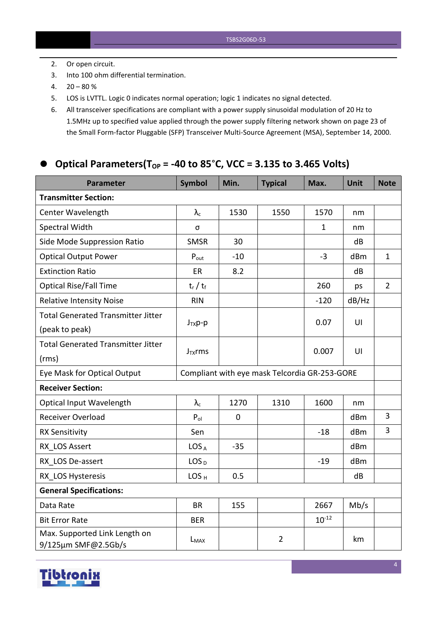- 2. Or open circuit.
- 3. Into 100 ohm differential termination.
- $4. \quad 20 80 \%$
- 5. LOS is LVTTL. Logic 0 indicates normal operation; logic 1 indicates no signal detected.
- 6. All transceiver specifications are compliant with a power supply sinusoidal modulation of 20 Hz to 1.5MHz up to specified value applied through the powersupply filtering network shown on page 23 of the Small Form-factor Pluggable (SFP) Transceiver Multi-Source Agreement (MSA), September 14, 2000.

#### **Optical Parameters(TOP = -40 to 85**°**C, VCC = 3.135 to 3.465 Volts)**

| <b>Parameter</b>                                     | <b>Symbol</b>                                 | Min.        | <b>Typical</b> | Max.         | Unit  | <b>Note</b>    |
|------------------------------------------------------|-----------------------------------------------|-------------|----------------|--------------|-------|----------------|
| <b>Transmitter Section:</b>                          |                                               |             |                |              |       |                |
| Center Wavelength                                    | $\lambda_{\rm c}$                             | 1530        | 1550           | 1570         | nm    |                |
| Spectral Width                                       | σ                                             |             |                | $\mathbf{1}$ | nm    |                |
| Side Mode Suppression Ratio                          | <b>SMSR</b>                                   | 30          |                |              | dB    |                |
| <b>Optical Output Power</b>                          | $P_{\text{out}}$                              | $-10$       |                | $-3$         | dBm   | $\mathbf{1}$   |
| <b>Extinction Ratio</b>                              | ER                                            | 8.2         |                |              | dB    |                |
| <b>Optical Rise/Fall Time</b>                        | $t_r / t_f$                                   |             |                | 260          | ps    | $\overline{2}$ |
| <b>Relative Intensity Noise</b>                      | <b>RIN</b>                                    |             |                | $-120$       | dB/Hz |                |
| <b>Total Generated Transmitter Jitter</b>            |                                               |             |                |              | U     |                |
| (peak to peak)                                       | $J_{TX}p-p$                                   |             |                | 0.07         |       |                |
| <b>Total Generated Transmitter Jitter</b>            |                                               |             |                | 0.007        | U     |                |
| (rms)                                                | $J_{TX}$ rms                                  |             |                |              |       |                |
| Eye Mask for Optical Output                          | Compliant with eye mask Telcordia GR-253-GORE |             |                |              |       |                |
| <b>Receiver Section:</b>                             |                                               |             |                |              |       |                |
| <b>Optical Input Wavelength</b>                      | $\lambda_c$                                   | 1270        | 1310           | 1600         | nm    |                |
| Receiver Overload                                    | $P_{ol}$                                      | $\mathbf 0$ |                |              | dBm   | $\overline{3}$ |
| <b>RX Sensitivity</b>                                | Sen                                           |             |                | $-18$        | dBm   | 3              |
| RX LOS Assert                                        | LOS <sub>A</sub>                              | $-35$       |                |              | dBm   |                |
| RX LOS De-assert                                     | LOS <sub>D</sub>                              |             |                | $-19$        | dBm   |                |
| RX LOS Hysteresis                                    | LOS <sub>H</sub>                              | 0.5         |                |              | dB    |                |
| <b>General Specifications:</b>                       |                                               |             |                |              |       |                |
| Data Rate                                            | <b>BR</b>                                     | 155         |                | 2667         | Mb/s  |                |
| <b>Bit Error Rate</b>                                | <b>BER</b>                                    |             |                | $10^{-12}$   |       |                |
| Max. Supported Link Length on<br>9/125µm SMF@2.5Gb/s | L <sub>MAX</sub>                              |             | $\overline{2}$ |              | km    |                |

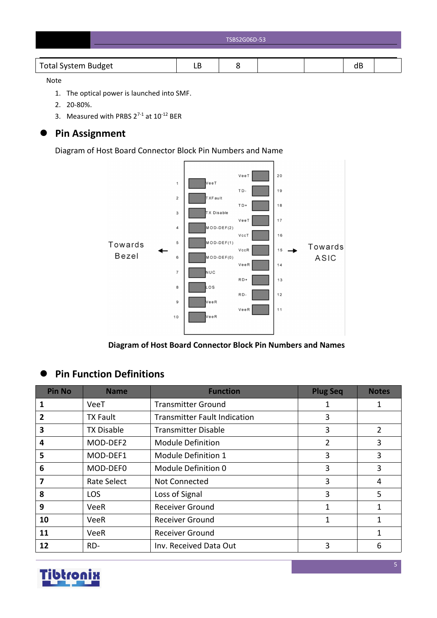| TSBS2G06D-53 |
|--------------|
|              |

#### Note

- 1. The optical power is launched into SMF.
- 2. 20-80%.
- 3. Measured with PRBS  $2^{7-1}$  at  $10^{-12}$  BER

# **Pin Assignment**

Diagram of Host Board Connector Block Pin Numbers and Name



**Diagram of Host Board Connector Block Pin Numbers and Names**

# **Pin Function Definitions**

| <b>Pin No</b>           | <b>Name</b>       | <b>Function</b>                     | <b>Plug Seq</b> | <b>Notes</b>   |
|-------------------------|-------------------|-------------------------------------|-----------------|----------------|
|                         | VeeT              | <b>Transmitter Ground</b>           | 1               | 1              |
| 2                       | <b>TX Fault</b>   | <b>Transmitter Fault Indication</b> | 3               |                |
| 3                       | <b>TX Disable</b> | <b>Transmitter Disable</b>          | 3               | $\overline{2}$ |
| 4                       | MOD-DEF2          | <b>Module Definition</b>            | 2               | 3              |
| 5                       | MOD-DEF1          | Module Definition 1                 | 3               | 3              |
| 6                       | MOD-DEF0          | Module Definition 0                 | 3               | 3              |
| $\overline{\mathbf{z}}$ | Rate Select       | Not Connected                       | 3               | 4              |
| 8                       | <b>LOS</b>        | Loss of Signal                      | 3               | 5              |
| 9                       | <b>VeeR</b>       | <b>Receiver Ground</b>              | 1               | $\mathbf{1}$   |
| 10                      | VeeR              | <b>Receiver Ground</b>              | 1               | 1              |
| 11                      | <b>VeeR</b>       | <b>Receiver Ground</b>              |                 | $\mathbf{1}$   |
| 12                      | RD-               | Inv. Received Data Out              | 3               | 6              |

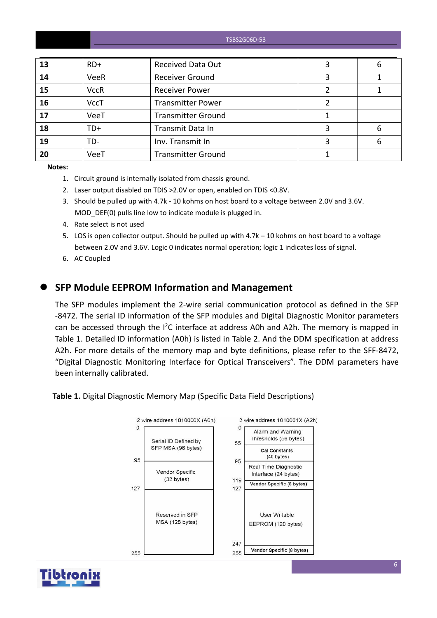TSBS2G06D-53

| 13 | $RD+$       | <b>Received Data Out</b>  | 6 |
|----|-------------|---------------------------|---|
| 14 | VeeR        | <b>Receiver Ground</b>    |   |
| 15 | <b>VccR</b> | <b>Receiver Power</b>     |   |
| 16 | <b>VccT</b> | <b>Transmitter Power</b>  |   |
| 17 | VeeT        | <b>Transmitter Ground</b> |   |
| 18 | TD+         | Transmit Data In          | 6 |
| 19 | TD-         | Inv. Transmit In          | 6 |
| 20 | VeeT        | <b>Transmitter Ground</b> |   |

**Notes:**

- 1. Circuit ground is internally isolated from chassis ground.
- 2. Laser output disabled on TDIS >2.0V or open, enabled on TDIS <0.8V.
- 3. Should be pulled up with 4.7k 10 kohms on host board to a voltage between 2.0V and 3.6V. MOD DEF(0) pulls line low to indicate module is plugged in.
- 4. Rate select is not used
- 5. LOS is open collector output. Should be pulled up with 4.7k 10 kohms on host board to a voltage between 2.0V and 3.6V. Logic 0 indicates normal operation; logic 1 indicates loss of signal.
- 6. AC Coupled

#### **SFP Module EEPROM Information and Management**

The SFP modules implement the 2-wire serial communication protocol as defined in the SFP -8472. The serial ID information of the SFP modules and Digital Diagnostic Monitor parameters can be accessed through the  $I^2C$  interface at address A0h and A2h. The memory is mapped in Table 1. Detailed ID information (A0h) is listed in Table 2. And the DDM specification at address A2h. For more details of the memory map and byte definitions, please refer to the SFF-8472, "Digital Diagnostic Monitoring Interface for Optical Transceivers". The DDM parameters have been internally calibrated.

**Table 1.** Digital Diagnostic Memory Map (Specific Data Field Descriptions)



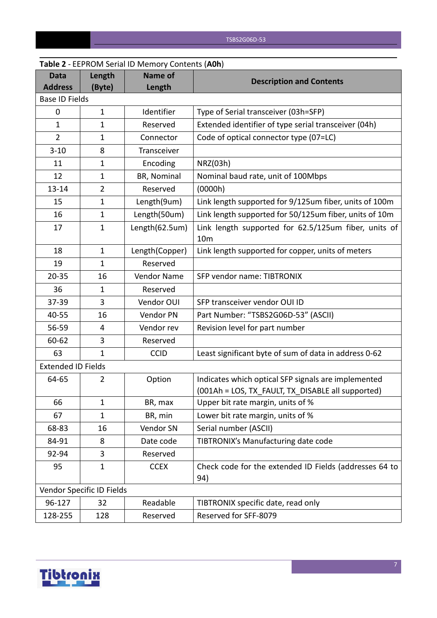|                               |                           | <b>Table 2</b> - LEPNONI SCHALID INCHIOLY COILCHLS (AUIT) |                                                                                                          |
|-------------------------------|---------------------------|-----------------------------------------------------------|----------------------------------------------------------------------------------------------------------|
| <b>Data</b><br><b>Address</b> | Length<br>(Byte)          | <b>Name of</b><br>Length                                  | <b>Description and Contents</b>                                                                          |
| <b>Base ID Fields</b>         |                           |                                                           |                                                                                                          |
| $\mathbf 0$                   | $\mathbf{1}$              | Identifier                                                | Type of Serial transceiver (03h=SFP)                                                                     |
| $\mathbf{1}$                  | $\mathbf 1$               | Reserved                                                  | Extended identifier of type serial transceiver (04h)                                                     |
| $\overline{2}$                | $\mathbf{1}$              | Connector                                                 | Code of optical connector type (07=LC)                                                                   |
| $3 - 10$                      | 8                         | Transceiver                                               |                                                                                                          |
| 11                            | 1                         | Encoding                                                  | NRZ(03h)                                                                                                 |
| 12                            | 1                         | BR, Nominal                                               | Nominal baud rate, unit of 100Mbps                                                                       |
| $13 - 14$                     | $\overline{2}$            | Reserved                                                  | (0000h)                                                                                                  |
| 15                            | $\mathbf{1}$              | Length(9um)                                               | Link length supported for 9/125um fiber, units of 100m                                                   |
| 16                            | $\mathbf{1}$              | Length(50um)                                              | Link length supported for 50/125um fiber, units of 10m                                                   |
| 17                            | $\mathbf{1}$              | Length(62.5um)                                            | Link length supported for 62.5/125um fiber, units of<br>10 <sub>m</sub>                                  |
| 18                            | $\mathbf{1}$              | Length(Copper)                                            | Link length supported for copper, units of meters                                                        |
| 19                            | $\mathbf{1}$              | Reserved                                                  |                                                                                                          |
| $20 - 35$                     | 16                        | Vendor Name                                               | SFP vendor name: TIBTRONIX                                                                               |
| 36                            | 1                         | Reserved                                                  |                                                                                                          |
| 37-39                         | 3                         | Vendor OUI                                                | SFP transceiver vendor OUI ID                                                                            |
| 40-55                         | 16                        | Vendor PN                                                 | Part Number: "TSBS2G06D-53" (ASCII)                                                                      |
| 56-59                         | 4                         | Vendor rev                                                | Revision level for part number                                                                           |
| 60-62                         | 3                         | Reserved                                                  |                                                                                                          |
| 63                            | $\mathbf{1}$              | <b>CCID</b>                                               | Least significant byte of sum of data in address 0-62                                                    |
| <b>Extended ID Fields</b>     |                           |                                                           |                                                                                                          |
| 64-65                         | 2                         | Option                                                    | Indicates which optical SFP signals are implemented<br>(001Ah = LOS, TX_FAULT, TX_DISABLE all supported) |
| 66                            | $\mathbf{1}$              | BR, max                                                   | Upper bit rate margin, units of %                                                                        |
| 67                            | $\mathbf{1}$              | BR, min                                                   | Lower bit rate margin, units of %                                                                        |
| 68-83                         | 16                        | Vendor SN                                                 | Serial number (ASCII)                                                                                    |
| 84-91                         | 8                         | Date code                                                 | TIBTRONIX's Manufacturing date code                                                                      |
| 92-94                         | 3                         | Reserved                                                  |                                                                                                          |
| 95                            | $\mathbf{1}$              | <b>CCEX</b>                                               | Check code for the extended ID Fields (addresses 64 to<br>94)                                            |
|                               | Vendor Specific ID Fields |                                                           |                                                                                                          |
| 96-127                        | 32                        | Readable                                                  | TIBTRONIX specific date, read only                                                                       |
| 128-255                       | 128                       | Reserved                                                  | Reserved for SFF-8079                                                                                    |

# **Table 2** - EEPROM Serial ID Memory Contents (**A0h**)

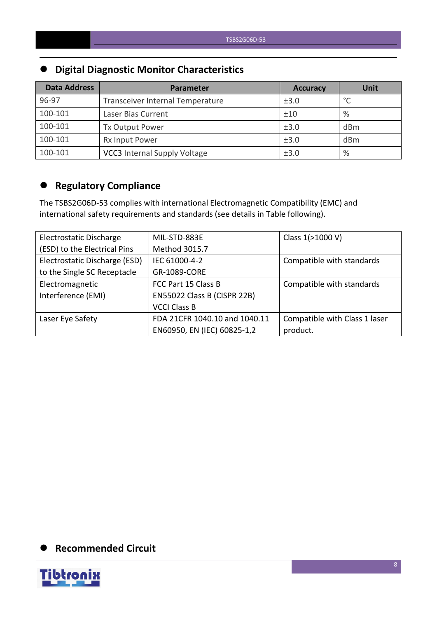# **Digital Diagnostic Monitor Characteristics**

| <b>Data Address</b> | Parameter                           | <b>Accuracy</b> | <b>Unit</b> |
|---------------------|-------------------------------------|-----------------|-------------|
| 96-97               | Transceiver Internal Temperature    | ±3.0            | $\sim$      |
| 100-101             | Laser Bias Current                  | ±10             | $\%$        |
| 100-101             | Tx Output Power                     | ±3.0            | dBm         |
| 100-101             | Rx Input Power                      | ±3.0            | dBm         |
| 100-101             | <b>VCC3</b> Internal Supply Voltage | ±3.0            | %           |

# **Regulatory Compliance**

The TSBS2G06D-53 complies with international Electromagnetic Compatibility (EMC) and international safety requirements and standards (see details in Table following).

| Electrostatic Discharge       | MIL-STD-883E                  | Class 1(>1000 V)              |
|-------------------------------|-------------------------------|-------------------------------|
| (ESD) to the Electrical Pins  | Method 3015.7                 |                               |
| Electrostatic Discharge (ESD) | IEC 61000-4-2                 | Compatible with standards     |
| to the Single SC Receptacle   | GR-1089-CORE                  |                               |
| Electromagnetic               | FCC Part 15 Class B           | Compatible with standards     |
| Interference (EMI)            | EN55022 Class B (CISPR 22B)   |                               |
|                               | <b>VCCI Class B</b>           |                               |
| Laser Eye Safety              | FDA 21CFR 1040.10 and 1040.11 | Compatible with Class 1 laser |
|                               | EN60950, EN (IEC) 60825-1,2   | product.                      |

## **Recommended Circuit**

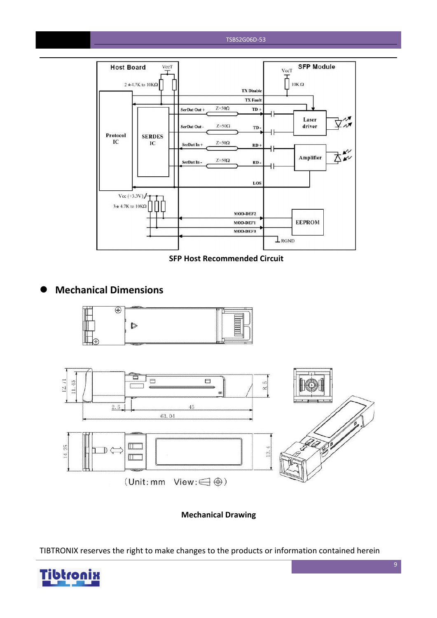#### TSBS2G06D-53



**SFP Host Recommended Circuit**

### **Mechanical Dimensions**





**Mechanical Drawing**

TIBTRONIX reserves the right to make changes to the products or information contained herein